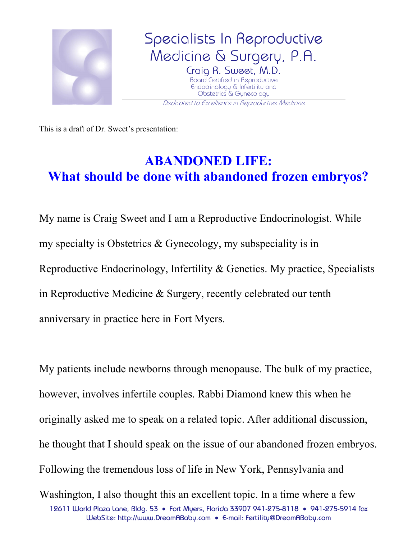

This is a draft of Dr. Sweet's presentation:

## **ABANDONED LIFE: What should be done with abandoned frozen embryos?**

My name is Craig Sweet and I am a Reproductive Endocrinologist. While my specialty is Obstetrics & Gynecology, my subspeciality is in Reproductive Endocrinology, Infertility & Genetics. My practice, Specialists in Reproductive Medicine & Surgery, recently celebrated our tenth anniversary in practice here in Fort Myers.

My patients include newborns through menopause. The bulk of my practice, however, involves infertile couples. Rabbi Diamond knew this when he originally asked me to speak on a related topic. After additional discussion, he thought that I should speak on the issue of our abandoned frozen embryos. Following the tremendous loss of life in New York, Pennsylvania and

12611 World Plaza Lane, Bldg. 53 • Fort Myers, Florida 33907 941-275-8118 • 941-275-5914 fax WebSite: http://www.DreamABaby.com • E-mail: Fertility@DreamABaby.com Washington, I also thought this an excellent topic. In a time where a few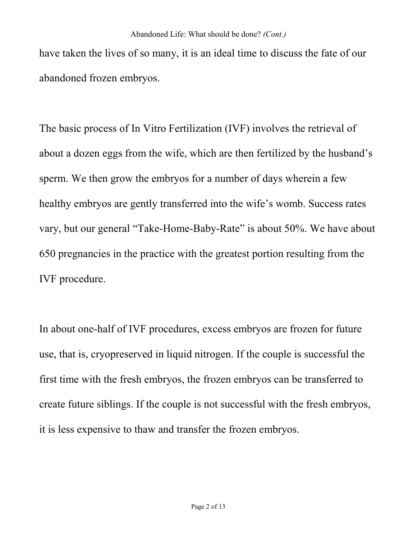have taken the lives of so many, it is an ideal time to discuss the fate of our abandoned frozen embryos.

The basic process of In Vitro Fertilization (IVF) involves the retrieval of about a dozen eggs from the wife, which are then fertilized by the husband's sperm. We then grow the embryos for a number of days wherein a few healthy embryos are gently transferred into the wife's womb. Success rates vary, but our general "Take-Home-Baby-Rate" is about 50%. We have about 650 pregnancies in the practice with the greatest portion resulting from the IVF procedure.

In about one-half of IVF procedures, excess embryos are frozen for future use, that is, cryopreserved in liquid nitrogen. If the couple is successful the first time with the fresh embryos, the frozen embryos can be transferred to create future siblings. If the couple is not successful with the fresh embryos, it is less expensive to thaw and transfer the frozen embryos.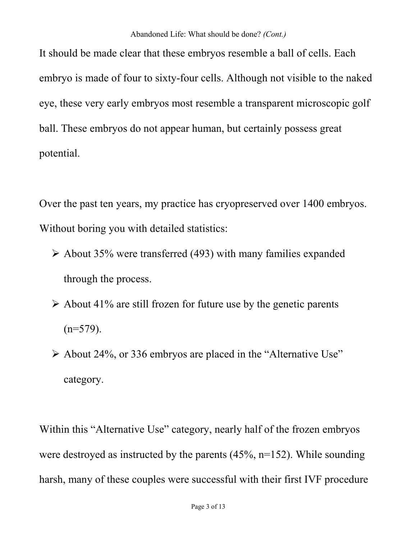It should be made clear that these embryos resemble a ball of cells. Each embryo is made of four to sixty-four cells. Although not visible to the naked eye, these very early embryos most resemble a transparent microscopic golf ball. These embryos do not appear human, but certainly possess great potential.

Over the past ten years, my practice has cryopreserved over 1400 embryos. Without boring you with detailed statistics:

- $\geq$  About 35% were transferred (493) with many families expanded through the process.
- $\triangleright$  About 41% are still frozen for future use by the genetic parents  $(n=579)$ .
- $\triangleright$  About 24%, or 336 embryos are placed in the "Alternative Use" category.

Within this "Alternative Use" category, nearly half of the frozen embryos were destroyed as instructed by the parents (45%, n=152). While sounding harsh, many of these couples were successful with their first IVF procedure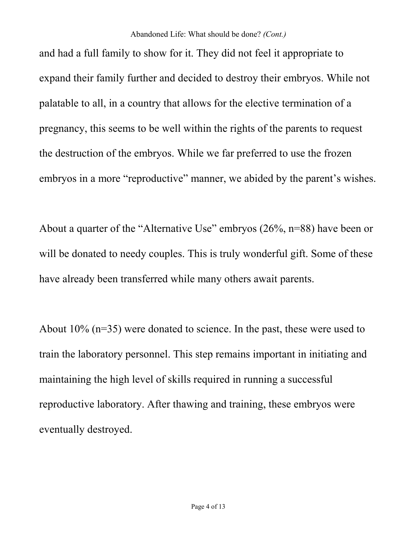and had a full family to show for it. They did not feel it appropriate to expand their family further and decided to destroy their embryos. While not palatable to all, in a country that allows for the elective termination of a pregnancy, this seems to be well within the rights of the parents to request the destruction of the embryos. While we far preferred to use the frozen embryos in a more "reproductive" manner, we abided by the parent's wishes.

About a quarter of the "Alternative Use" embryos (26%, n=88) have been or will be donated to needy couples. This is truly wonderful gift. Some of these have already been transferred while many others await parents.

About 10% (n=35) were donated to science. In the past, these were used to train the laboratory personnel. This step remains important in initiating and maintaining the high level of skills required in running a successful reproductive laboratory. After thawing and training, these embryos were eventually destroyed.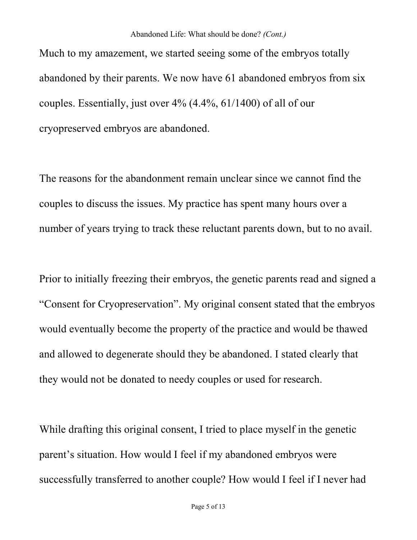Much to my amazement, we started seeing some of the embryos totally abandoned by their parents. We now have 61 abandoned embryos from six couples. Essentially, just over 4% (4.4%, 61/1400) of all of our cryopreserved embryos are abandoned.

The reasons for the abandonment remain unclear since we cannot find the couples to discuss the issues. My practice has spent many hours over a number of years trying to track these reluctant parents down, but to no avail.

Prior to initially freezing their embryos, the genetic parents read and signed a "Consent for Cryopreservation". My original consent stated that the embryos would eventually become the property of the practice and would be thawed and allowed to degenerate should they be abandoned. I stated clearly that they would not be donated to needy couples or used for research.

While drafting this original consent, I tried to place myself in the genetic parent's situation. How would I feel if my abandoned embryos were successfully transferred to another couple? How would I feel if I never had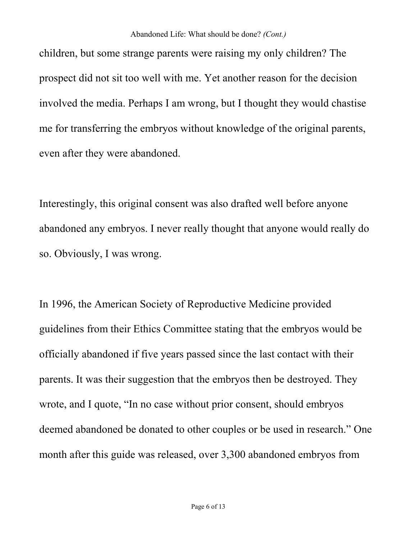children, but some strange parents were raising my only children? The prospect did not sit too well with me. Yet another reason for the decision involved the media. Perhaps I am wrong, but I thought they would chastise me for transferring the embryos without knowledge of the original parents, even after they were abandoned.

Interestingly, this original consent was also drafted well before anyone abandoned any embryos. I never really thought that anyone would really do so. Obviously, I was wrong.

In 1996, the American Society of Reproductive Medicine provided guidelines from their Ethics Committee stating that the embryos would be officially abandoned if five years passed since the last contact with their parents. It was their suggestion that the embryos then be destroyed. They wrote, and I quote, "In no case without prior consent, should embryos deemed abandoned be donated to other couples or be used in research." One month after this guide was released, over 3,300 abandoned embryos from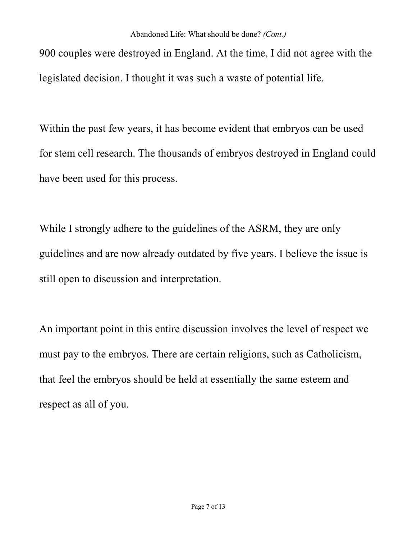900 couples were destroyed in England. At the time, I did not agree with the legislated decision. I thought it was such a waste of potential life.

Within the past few years, it has become evident that embryos can be used for stem cell research. The thousands of embryos destroyed in England could have been used for this process.

While I strongly adhere to the guidelines of the ASRM, they are only guidelines and are now already outdated by five years. I believe the issue is still open to discussion and interpretation.

An important point in this entire discussion involves the level of respect we must pay to the embryos. There are certain religions, such as Catholicism, that feel the embryos should be held at essentially the same esteem and respect as all of you.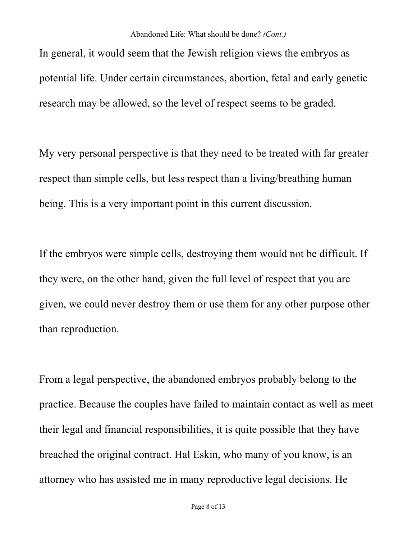In general, it would seem that the Jewish religion views the embryos as potential life. Under certain circumstances, abortion, fetal and early genetic research may be allowed, so the level of respect seems to be graded.

My very personal perspective is that they need to be treated with far greater respect than simple cells, but less respect than a living/breathing human being. This is a very important point in this current discussion.

If the embryos were simple cells, destroying them would not be difficult. If they were, on the other hand, given the full level of respect that you are given, we could never destroy them or use them for any other purpose other than reproduction.

From a legal perspective, the abandoned embryos probably belong to the practice. Because the couples have failed to maintain contact as well as meet their legal and financial responsibilities, it is quite possible that they have breached the original contract. Hal Eskin, who many of you know, is an attorney who has assisted me in many reproductive legal decisions. He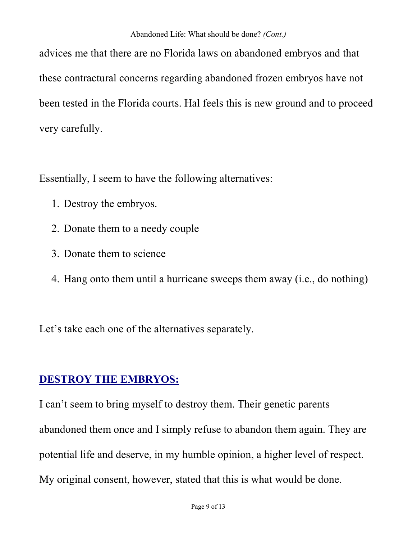advices me that there are no Florida laws on abandoned embryos and that these contractural concerns regarding abandoned frozen embryos have not been tested in the Florida courts. Hal feels this is new ground and to proceed very carefully.

Essentially, I seem to have the following alternatives:

- 1. Destroy the embryos.
- 2. Donate them to a needy couple
- 3. Donate them to science
- 4. Hang onto them until a hurricane sweeps them away (i.e., do nothing)

Let's take each one of the alternatives separately.

### **DESTROY THE EMBRYOS:**

I can't seem to bring myself to destroy them. Their genetic parents abandoned them once and I simply refuse to abandon them again. They are potential life and deserve, in my humble opinion, a higher level of respect. My original consent, however, stated that this is what would be done.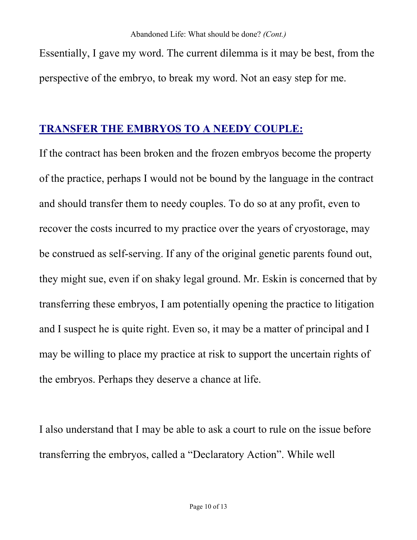Essentially, I gave my word. The current dilemma is it may be best, from the perspective of the embryo, to break my word. Not an easy step for me.

#### **TRANSFER THE EMBRYOS TO A NEEDY COUPLE:**

If the contract has been broken and the frozen embryos become the property of the practice, perhaps I would not be bound by the language in the contract and should transfer them to needy couples. To do so at any profit, even to recover the costs incurred to my practice over the years of cryostorage, may be construed as self-serving. If any of the original genetic parents found out, they might sue, even if on shaky legal ground. Mr. Eskin is concerned that by transferring these embryos, I am potentially opening the practice to litigation and I suspect he is quite right. Even so, it may be a matter of principal and I may be willing to place my practice at risk to support the uncertain rights of the embryos. Perhaps they deserve a chance at life.

I also understand that I may be able to ask a court to rule on the issue before transferring the embryos, called a "Declaratory Action". While well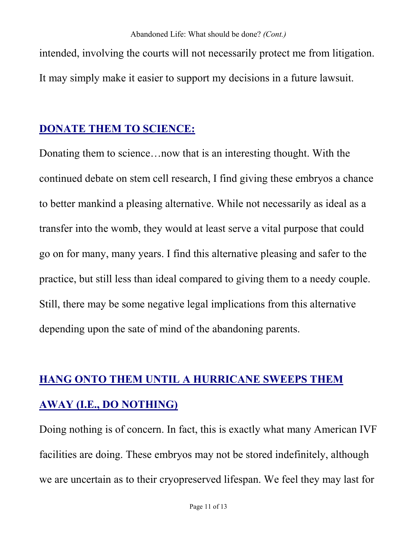intended, involving the courts will not necessarily protect me from litigation. It may simply make it easier to support my decisions in a future lawsuit.

#### **DONATE THEM TO SCIENCE:**

Donating them to science…now that is an interesting thought. With the continued debate on stem cell research, I find giving these embryos a chance to better mankind a pleasing alternative. While not necessarily as ideal as a transfer into the womb, they would at least serve a vital purpose that could go on for many, many years. I find this alternative pleasing and safer to the practice, but still less than ideal compared to giving them to a needy couple. Still, there may be some negative legal implications from this alternative depending upon the sate of mind of the abandoning parents.

# **HANG ONTO THEM UNTIL A HURRICANE SWEEPS THEM AWAY (I.E., DO NOTHING)**

Doing nothing is of concern. In fact, this is exactly what many American IVF facilities are doing. These embryos may not be stored indefinitely, although we are uncertain as to their cryopreserved lifespan. We feel they may last for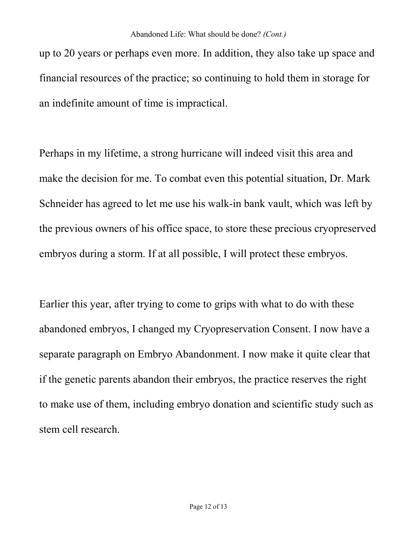up to 20 years or perhaps even more. In addition, they also take up space and financial resources of the practice; so continuing to hold them in storage for an indefinite amount of time is impractical.

Perhaps in my lifetime, a strong hurricane will indeed visit this area and make the decision for me. To combat even this potential situation, Dr. Mark Schneider has agreed to let me use his walk-in bank vault, which was left by the previous owners of his office space, to store these precious cryopreserved embryos during a storm. If at all possible, I will protect these embryos.

Earlier this year, after trying to come to grips with what to do with these abandoned embryos, I changed my Cryopreservation Consent. I now have a separate paragraph on Embryo Abandonment. I now make it quite clear that if the genetic parents abandon their embryos, the practice reserves the right to make use of them, including embryo donation and scientific study such as stem cell research.